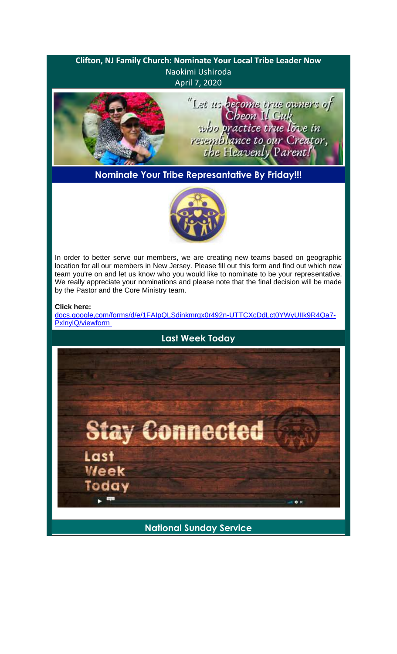# **Clifton, NJ Family Church: Nominate Your Local Tribe Leader Now** Naokimi Ushiroda April 7, 2020 "Let us become true owners of<br>Cheon Il Guk<br>who practice true love in resemblance to our Creator, the Heavenly Parent! **Nominate Your Tribe Represantative By Friday!!!**



In order to better serve our members, we are creating new teams based on geographic location for all our members in New Jersey. Please fill out this form and find out which new team you're on and let us know who you would like to nominate to be your representative. We really appreciate your nominations and please note that the final decision will be made by the Pastor and the Core Ministry team.

### **Click here:**

docs.google,com/forms/d/e/1FAIpQLSdinkmrqx0r492n-UTTCXcDdLct0YWyUIIk9R4Qa7- PxlnylQ/viewform



**National Sunday Service**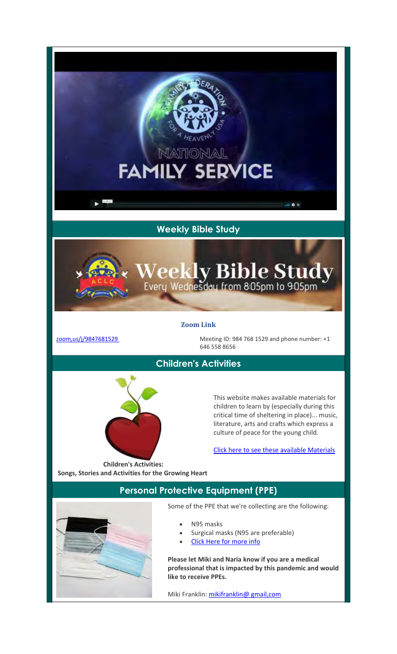# **Weekly Bible Study**

NATIONAL

**FAMILY SERVICE** 

## **Zoom Link**

zoom,us/j/9847681529 Meeting ID: 984 768 1529 and phone number: +1 646 558 8656

Weekly Bible Study

## **Children's Activities**

This website makes available materials for children to learn by (especially during this critical time of sheltering in place)... music, literature, arts and crafts which express a culture of peace for the young child.

Click here to see these available Materials

**Children's Activities: Songs, Stories and Activities for the Growing Heart**

## **Personal Protective Equipment (PPE)**

Some of the PPE that we're collecting are the following:

- N95 masks
- Surgical masks (N95 are preferable)
- Click Here for more info

**Please let Miki and Naria know if you are a medical professional that is impacted by this pandemic and would like to receive PPEs.**

Miki Franklin: mikifranklin@ gmail,com

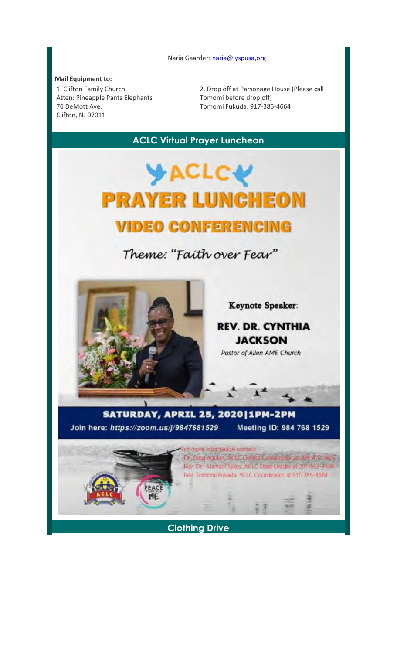Naria Gaarder: naria@ yspusa, org

### **Mail Equipment to:**

1. Clifton Family Church Atten: Pineapple Pants Elephants 76 DeMott Ave. Clifton, NJ 07011

2. Drop off at Parsonage House (Please call Tomomi before drop off) Tomomi Fukuda: 917-385-4664

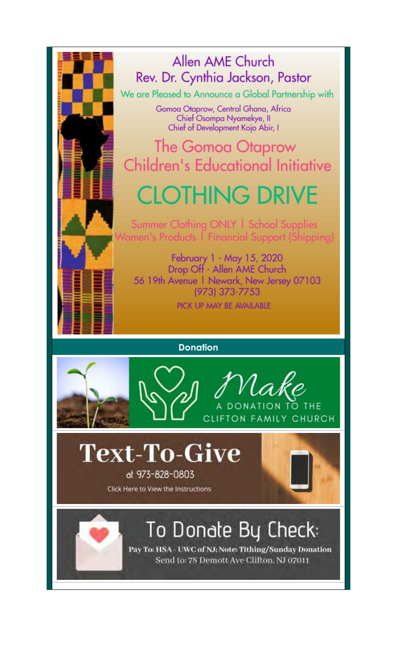